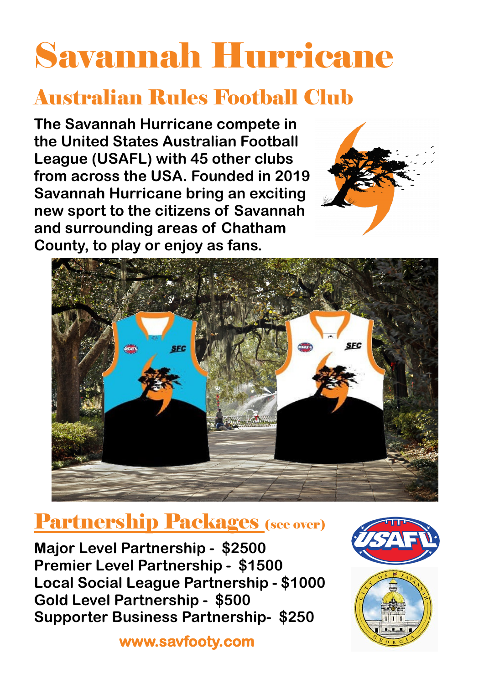# Savannah Hurricane

### Australian Rules Football Club

Partnership Packages (see over)

**The Savannah Hurricane compete in the United States Australian Football League (USAFL) with 45 other clubs from across the USA. Founded in 2019 Savannah Hurricane bring an exciting new sport to the citizens of Savannah and surrounding areas of Chatham County, to play or enjoy as fans.**





**www.savfooty.com** 



**Major Level Partnership - \$2500 Premier Level Partnership - \$1500 Local Social League Partnership - \$1000 Gold Level Partnership - \$500 Supporter Business Partnership- \$250**